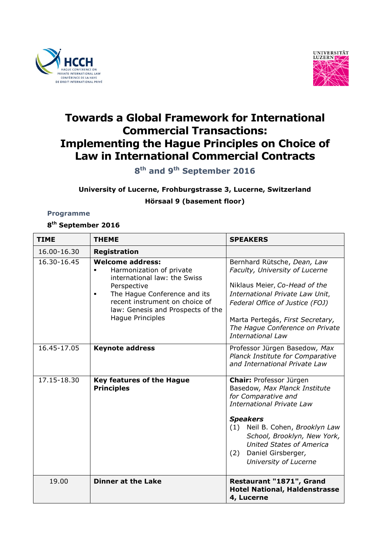



# **Towards a Global Framework for International Commercial Transactions: Implementing the Hague Principles on Choice of Law in International Commercial Contracts**

**8 th and 9th September 2016**

## **University of Lucerne, Frohburgstrasse 3, Lucerne, Switzerland**

### **Hörsaal 9 (basement floor)**

#### **Programme**

## **8 th September 2016**

| <b>TIME</b>              | <b>THEME</b>                                                                                                                                                                                                                  | <b>SPEAKERS</b>                                                                                                                                                                                                                                                                                   |
|--------------------------|-------------------------------------------------------------------------------------------------------------------------------------------------------------------------------------------------------------------------------|---------------------------------------------------------------------------------------------------------------------------------------------------------------------------------------------------------------------------------------------------------------------------------------------------|
| 16.00-16.30              | <b>Registration</b>                                                                                                                                                                                                           |                                                                                                                                                                                                                                                                                                   |
| 16.30-16.45              | <b>Welcome address:</b><br>Harmonization of private<br>international law: the Swiss<br>Perspective<br>The Hague Conference and its<br>recent instrument on choice of<br>law: Genesis and Prospects of the<br>Hague Principles | Bernhard Rütsche, Dean, Law<br>Faculty, University of Lucerne<br>Niklaus Meier, Co-Head of the<br>International Private Law Unit,<br>Federal Office of Justice (FOJ)<br>Marta Pertegás, First Secretary,<br>The Hague Conference on Private<br><b>International Law</b>                           |
| 16.45-17.05              | <b>Keynote address</b>                                                                                                                                                                                                        | Professor Jürgen Basedow, Max<br>Planck Institute for Comparative<br>and International Private Law                                                                                                                                                                                                |
| $17.\overline{15-18.30}$ | <b>Key features of the Hague</b><br><b>Principles</b>                                                                                                                                                                         | Chair: Professor Jürgen<br>Basedow, Max Planck Institute<br>for Comparative and<br><b>International Private Law</b><br><b>Speakers</b><br>(1) Neil B. Cohen, Brooklyn Law<br>School, Brooklyn, New York,<br><b>United States of America</b><br>Daniel Girsberger,<br>(2)<br>University of Lucerne |
| 19.00                    | <b>Dinner at the Lake</b>                                                                                                                                                                                                     | Restaurant "1871", Grand<br><b>Hotel National, Haldenstrasse</b><br>4, Lucerne                                                                                                                                                                                                                    |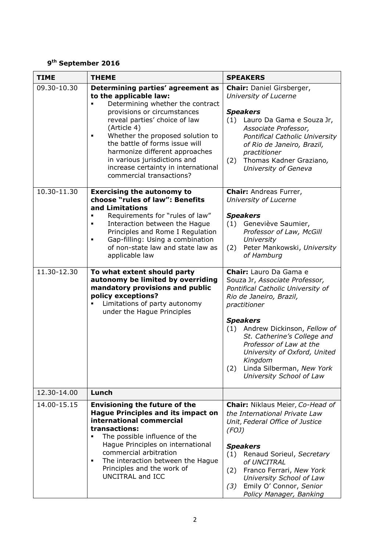#### **9 th September 2016**

| <b>TIME</b> | <b>THEME</b>                                                                                                                                                                                                                                                                                                                                                                                   | <b>SPEAKERS</b>                                                                                                                                                                                                                                                                                                                                                     |
|-------------|------------------------------------------------------------------------------------------------------------------------------------------------------------------------------------------------------------------------------------------------------------------------------------------------------------------------------------------------------------------------------------------------|---------------------------------------------------------------------------------------------------------------------------------------------------------------------------------------------------------------------------------------------------------------------------------------------------------------------------------------------------------------------|
| 09.30-10.30 | Determining parties' agreement as<br>to the applicable law:<br>Determining whether the contract<br>provisions or circumstances<br>reveal parties' choice of law<br>(Article 4)<br>Whether the proposed solution to<br>п<br>the battle of forms issue will<br>harmonize different approaches<br>in various jurisdictions and<br>increase certainty in international<br>commercial transactions? | Chair: Daniel Girsberger,<br>University of Lucerne<br><b>Speakers</b><br>(1) Lauro Da Gama e Souza Jr,<br>Associate Professor,<br>Pontifical Catholic University<br>of Rio de Janeiro, Brazil,<br>practitioner<br>Thomas Kadner Graziano,<br>(2)<br>University of Geneva                                                                                            |
| 10.30-11.30 | <b>Exercising the autonomy to</b><br>choose "rules of law": Benefits<br>and Limitations<br>Requirements for "rules of law"<br>Interaction between the Hague<br>Principles and Rome I Regulation<br>Gap-filling: Using a combination<br>of non-state law and state law as<br>applicable law                                                                                                     | <b>Chair:</b> Andreas Furrer,<br>University of Lucerne<br><b>Speakers</b><br>Geneviève Saumier,<br>(1)<br>Professor of Law, McGill<br>University<br>Peter Mankowski, University<br>(2)<br>of Hamburg                                                                                                                                                                |
| 11.30-12.30 | To what extent should party<br>autonomy be limited by overriding<br>mandatory provisions and public<br>policy exceptions?<br>Limitations of party autonomy<br>under the Hague Principles                                                                                                                                                                                                       | Chair: Lauro Da Gama e<br>Souza Jr, Associate Professor,<br>Pontifical Catholic University of<br>Rio de Janeiro, Brazil,<br>practitioner<br><b>Speakers</b><br>(1) Andrew Dickinson, Fellow of<br>St. Catherine's College and<br>Professor of Law at the<br>University of Oxford, United<br>Kingdom<br>Linda Silberman, New York<br>(2)<br>University School of Law |
| 12.30-14.00 | Lunch                                                                                                                                                                                                                                                                                                                                                                                          |                                                                                                                                                                                                                                                                                                                                                                     |
| 14.00-15.15 | <b>Envisioning the future of the</b><br><b>Hague Principles and its impact on</b><br>international commercial<br>transactions:<br>The possible influence of the<br>Hague Principles on international<br>commercial arbitration<br>The interaction between the Hague<br>п<br>Principles and the work of<br>UNCITRAL and ICC                                                                     | Chair: Niklaus Meier, Co-Head of<br>the International Private Law<br>Unit, Federal Office of Justice<br>(FOJ)<br><b>Speakers</b><br>(1)<br>Renaud Sorieul, Secretary<br>of UNCITRAL<br>(2)<br>Franco Ferrari, New York<br>University School of Law<br>Emily O' Connor, Senior<br>(3)<br>Policy Manager, Banking                                                     |